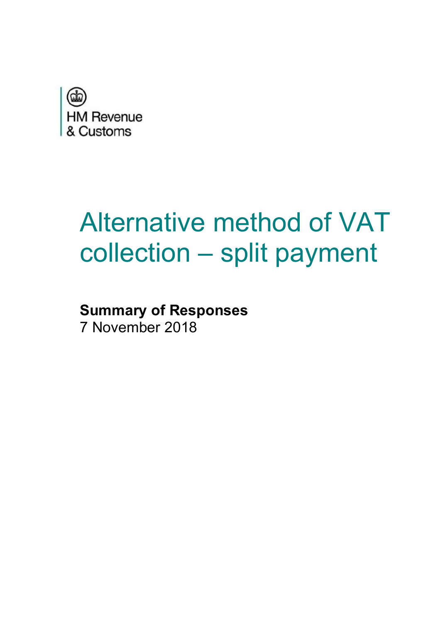

# Alternative method of VAT collection – split payment

### **Summary of Responses**  7 November 2018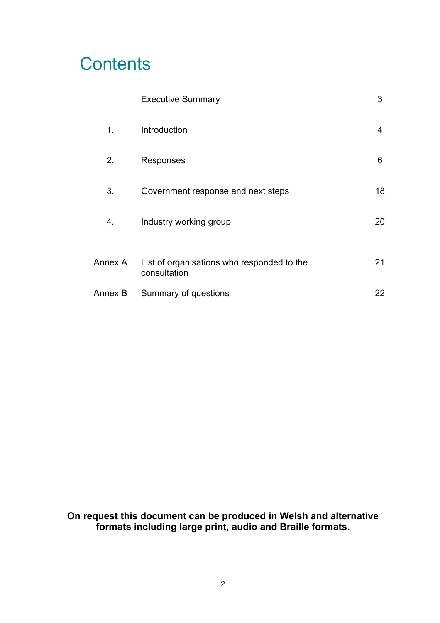### **Contents**

|         | <b>Executive Summary</b>                                   | 3  |
|---------|------------------------------------------------------------|----|
| 1.      | Introduction                                               | 4  |
| 2.      | Responses                                                  | 6  |
| 3.      | Government response and next steps                         | 18 |
| 4.      | Industry working group                                     | 20 |
| Annex A | List of organisations who responded to the<br>consultation | 21 |
| Annex B | Summary of questions                                       | 22 |

**On request this document can be produced in Welsh and alternative formats including large print, audio and Braille formats.**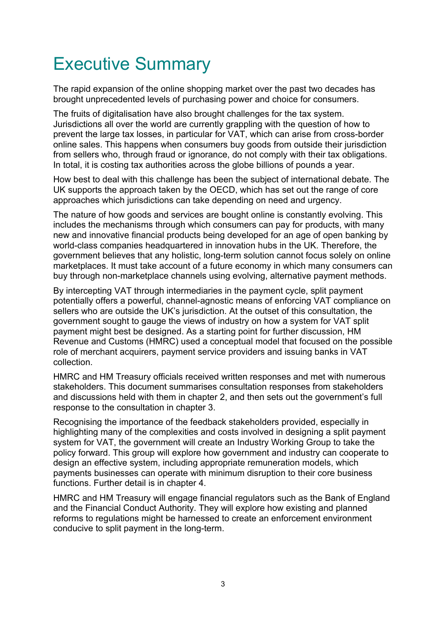# Executive Summary

The rapid expansion of the online shopping market over the past two decades has brought unprecedented levels of purchasing power and choice for consumers.

The fruits of digitalisation have also brought challenges for the tax system. Jurisdictions all over the world are currently grappling with the question of how to prevent the large tax losses, in particular for VAT, which can arise from cross-border online sales. This happens when consumers buy goods from outside their jurisdiction from sellers who, through fraud or ignorance, do not comply with their tax obligations. In total, it is costing tax authorities across the globe billions of pounds a year.

How best to deal with this challenge has been the subject of international debate. The UK supports the approach taken by the OECD, which has set out the range of core approaches which jurisdictions can take depending on need and urgency.

The nature of how goods and services are bought online is constantly evolving. This includes the mechanisms through which consumers can pay for products, with many new and innovative financial products being developed for an age of open banking by world-class companies headquartered in innovation hubs in the UK. Therefore, the government believes that any holistic, long-term solution cannot focus solely on online marketplaces. It must take account of a future economy in which many consumers can buy through non-marketplace channels using evolving, alternative payment methods.

By intercepting VAT through intermediaries in the payment cycle, split payment potentially offers a powerful, channel-agnostic means of enforcing VAT compliance on sellers who are outside the UK's jurisdiction. At the outset of this consultation, the government sought to gauge the views of industry on how a system for VAT split payment might best be designed. As a starting point for further discussion, HM Revenue and Customs (HMRC) used a conceptual model that focused on the possible role of merchant acquirers, payment service providers and issuing banks in VAT collection.

HMRC and HM Treasury officials received written responses and met with numerous stakeholders. This document summarises consultation responses from stakeholders and discussions held with them in chapter 2, and then sets out the government's full response to the consultation in chapter 3.

Recognising the importance of the feedback stakeholders provided, especially in highlighting many of the complexities and costs involved in designing a split payment system for VAT, the government will create an Industry Working Group to take the policy forward. This group will explore how government and industry can cooperate to design an effective system, including appropriate remuneration models, which payments businesses can operate with minimum disruption to their core business functions. Further detail is in chapter 4.

HMRC and HM Treasury will engage financial regulators such as the Bank of England and the Financial Conduct Authority. They will explore how existing and planned reforms to regulations might be harnessed to create an enforcement environment conducive to split payment in the long-term.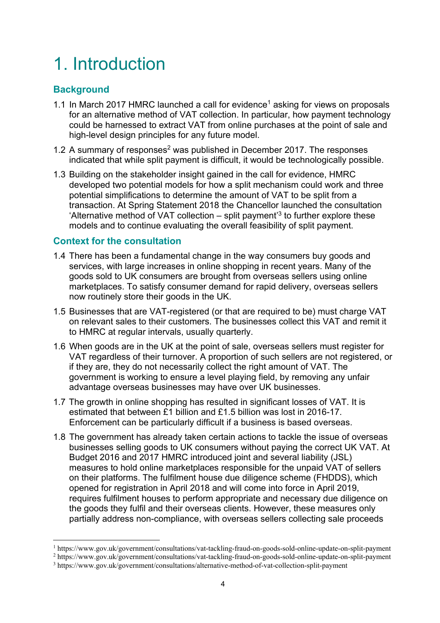# 1. Introduction

#### **Background**

 $\overline{a}$ 

- 1.1 In March 2017 HMRC launched a call for evidence<sup>1</sup> asking for views on proposals for an alternative method of VAT collection. In particular, how payment technology could be harnessed to extract VAT from online purchases at the point of sale and high-level design principles for any future model.
- 1.2 A summary of responses<sup>2</sup> was published in December 2017. The responses indicated that while split payment is difficult, it would be technologically possible.
- 1.3 Building on the stakeholder insight gained in the call for evidence, HMRC developed two potential models for how a split mechanism could work and three potential simplifications to determine the amount of VAT to be split from a transaction. At Spring Statement 2018 the Chancellor launched the consultation 'Alternative method of VAT collection – split payment<sup>'3</sup> to further explore these models and to continue evaluating the overall feasibility of split payment.

#### **Context for the consultation**

- 1.4 There has been a fundamental change in the way consumers buy goods and services, with large increases in online shopping in recent years. Many of the goods sold to UK consumers are brought from overseas sellers using online marketplaces. To satisfy consumer demand for rapid delivery, overseas sellers now routinely store their goods in the UK.
- 1.5 Businesses that are VAT-registered (or that are required to be) must charge VAT on relevant sales to their customers. The businesses collect this VAT and remit it to HMRC at regular intervals, usually quarterly.
- 1.6 When goods are in the UK at the point of sale, overseas sellers must register for VAT regardless of their turnover. A proportion of such sellers are not registered, or if they are, they do not necessarily collect the right amount of VAT. The government is working to ensure a level playing field, by removing any unfair advantage overseas businesses may have over UK businesses.
- 1.7 The growth in online shopping has resulted in significant losses of VAT. It is estimated that between £1 billion and £1.5 billion was lost in 2016-17. Enforcement can be particularly difficult if a business is based overseas.
- 1.8 The government has already taken certain actions to tackle the issue of overseas businesses selling goods to UK consumers without paying the correct UK VAT. At Budget 2016 and 2017 HMRC introduced joint and several liability (JSL) measures to hold online marketplaces responsible for the unpaid VAT of sellers on their platforms. The fulfilment house due diligence scheme (FHDDS), which opened for registration in April 2018 and will come into force in April 2019, requires fulfilment houses to perform appropriate and necessary due diligence on the goods they fulfil and their overseas clients. However, these measures only partially address non-compliance, with overseas sellers collecting sale proceeds

<sup>&</sup>lt;sup>1</sup> https://www.gov.uk/government/consultations/vat-tackling-fraud-on-goods-sold-online-update-on-split-payment<br><sup>2</sup> https://www.gov.uk/government/consultations/vat-tackling-fraud-on-goods-sold-online-update-on-split-paymen

https://www.gov.uk/government/consultations/vat-tackling-fraud-on-goods-sold-online-update-on-split-payment

<sup>3</sup> https://www.gov.uk/government/consultations/alternative-method-of-vat-collection-split-payment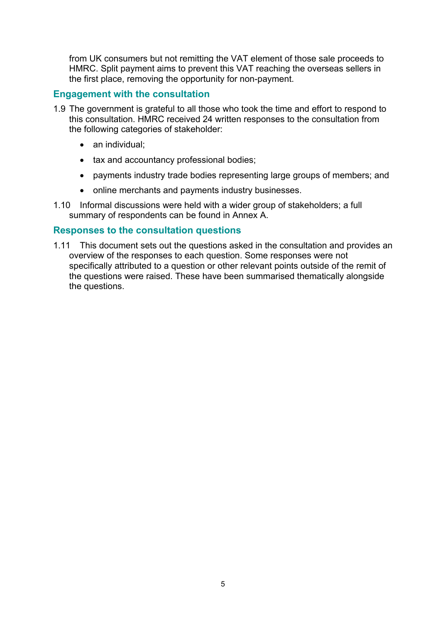from UK consumers but not remitting the VAT element of those sale proceeds to HMRC. Split payment aims to prevent this VAT reaching the overseas sellers in the first place, removing the opportunity for non-payment.

#### **Engagement with the consultation**

- 1.9 The government is grateful to all those who took the time and effort to respond to this consultation. HMRC received 24 written responses to the consultation from the following categories of stakeholder:
	- an individual:
	- tax and accountancy professional bodies;
	- payments industry trade bodies representing large groups of members; and
	- online merchants and payments industry businesses.
- 1.10 Informal discussions were held with a wider group of stakeholders; a full summary of respondents can be found in Annex A.

#### **Responses to the consultation questions**

1.11 This document sets out the questions asked in the consultation and provides an overview of the responses to each question. Some responses were not specifically attributed to a question or other relevant points outside of the remit of the questions were raised. These have been summarised thematically alongside the questions.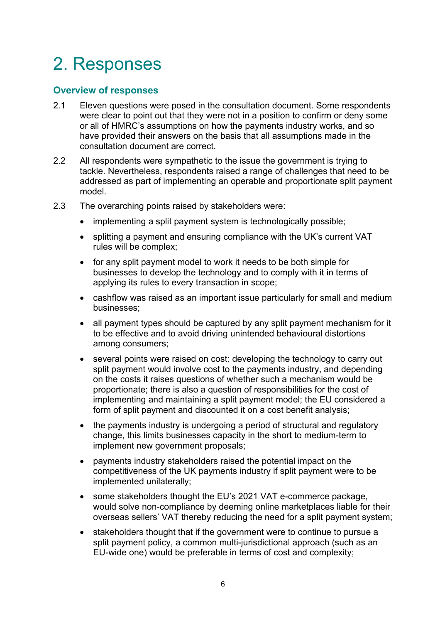# 2. Responses

#### **Overview of responses**

- 2.1 Eleven questions were posed in the consultation document. Some respondents were clear to point out that they were not in a position to confirm or deny some or all of HMRC's assumptions on how the payments industry works, and so have provided their answers on the basis that all assumptions made in the consultation document are correct.
- 2.2 All respondents were sympathetic to the issue the government is trying to tackle. Nevertheless, respondents raised a range of challenges that need to be addressed as part of implementing an operable and proportionate split payment model.
- 2.3 The overarching points raised by stakeholders were:
	- implementing a split payment system is technologically possible;
	- splitting a payment and ensuring compliance with the UK's current VAT rules will be complex;
	- for any split payment model to work it needs to be both simple for businesses to develop the technology and to comply with it in terms of applying its rules to every transaction in scope;
	- cashflow was raised as an important issue particularly for small and medium businesses;
	- all payment types should be captured by any split payment mechanism for it to be effective and to avoid driving unintended behavioural distortions among consumers;
	- several points were raised on cost: developing the technology to carry out split payment would involve cost to the payments industry, and depending on the costs it raises questions of whether such a mechanism would be proportionate; there is also a question of responsibilities for the cost of implementing and maintaining a split payment model; the EU considered a form of split payment and discounted it on a cost benefit analysis;
	- the payments industry is undergoing a period of structural and regulatory change, this limits businesses capacity in the short to medium-term to implement new government proposals;
	- payments industry stakeholders raised the potential impact on the competitiveness of the UK payments industry if split payment were to be implemented unilaterally;
	- some stakeholders thought the EU's 2021 VAT e-commerce package, would solve non-compliance by deeming online marketplaces liable for their overseas sellers' VAT thereby reducing the need for a split payment system;
	- stakeholders thought that if the government were to continue to pursue a split payment policy, a common multi-jurisdictional approach (such as an EU-wide one) would be preferable in terms of cost and complexity;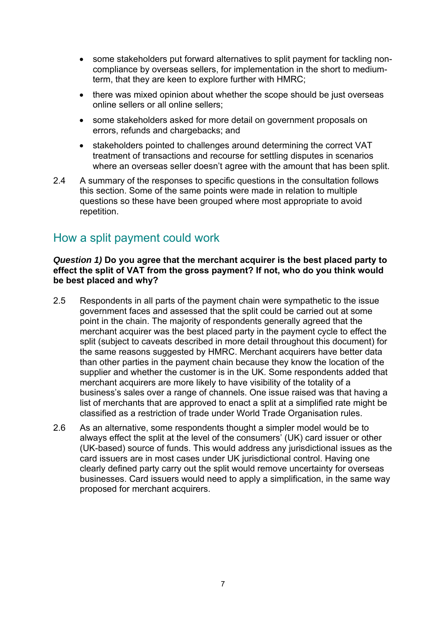- some stakeholders put forward alternatives to split payment for tackling noncompliance by overseas sellers, for implementation in the short to mediumterm, that they are keen to explore further with HMRC;
- there was mixed opinion about whether the scope should be just overseas online sellers or all online sellers;
- some stakeholders asked for more detail on government proposals on errors, refunds and chargebacks; and
- stakeholders pointed to challenges around determining the correct VAT treatment of transactions and recourse for settling disputes in scenarios where an overseas seller doesn't agree with the amount that has been split.
- 2.4 A summary of the responses to specific questions in the consultation follows this section. Some of the same points were made in relation to multiple questions so these have been grouped where most appropriate to avoid repetition.

### How a split payment could work

#### *Question 1)* **Do you agree that the merchant acquirer is the best placed party to effect the split of VAT from the gross payment? If not, who do you think would be best placed and why?**

- 2.5 Respondents in all parts of the payment chain were sympathetic to the issue government faces and assessed that the split could be carried out at some point in the chain. The majority of respondents generally agreed that the merchant acquirer was the best placed party in the payment cycle to effect the split (subject to caveats described in more detail throughout this document) for the same reasons suggested by HMRC. Merchant acquirers have better data than other parties in the payment chain because they know the location of the supplier and whether the customer is in the UK. Some respondents added that merchant acquirers are more likely to have visibility of the totality of a business's sales over a range of channels. One issue raised was that having a list of merchants that are approved to enact a split at a simplified rate might be classified as a restriction of trade under World Trade Organisation rules.
- 2.6 As an alternative, some respondents thought a simpler model would be to always effect the split at the level of the consumers' (UK) card issuer or other (UK-based) source of funds. This would address any jurisdictional issues as the card issuers are in most cases under UK jurisdictional control. Having one clearly defined party carry out the split would remove uncertainty for overseas businesses. Card issuers would need to apply a simplification, in the same way proposed for merchant acquirers.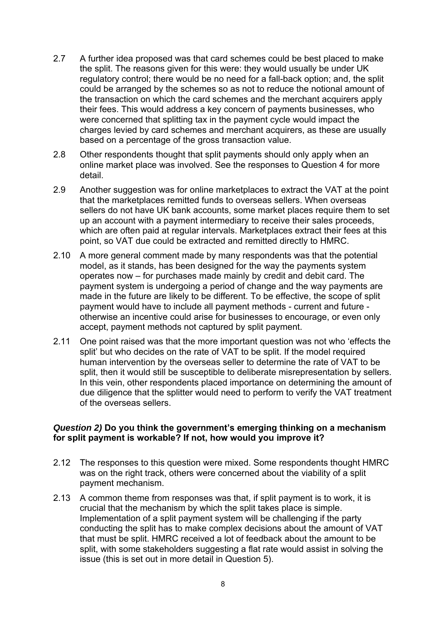- 2.7 A further idea proposed was that card schemes could be best placed to make the split. The reasons given for this were: they would usually be under UK regulatory control; there would be no need for a fall-back option; and, the split could be arranged by the schemes so as not to reduce the notional amount of the transaction on which the card schemes and the merchant acquirers apply their fees. This would address a key concern of payments businesses, who were concerned that splitting tax in the payment cycle would impact the charges levied by card schemes and merchant acquirers, as these are usually based on a percentage of the gross transaction value.
- 2.8 Other respondents thought that split payments should only apply when an online market place was involved. See the responses to Question 4 for more detail.
- 2.9 Another suggestion was for online marketplaces to extract the VAT at the point that the marketplaces remitted funds to overseas sellers. When overseas sellers do not have UK bank accounts, some market places require them to set up an account with a payment intermediary to receive their sales proceeds, which are often paid at regular intervals. Marketplaces extract their fees at this point, so VAT due could be extracted and remitted directly to HMRC.
- 2.10 A more general comment made by many respondents was that the potential model, as it stands, has been designed for the way the payments system operates now – for purchases made mainly by credit and debit card. The payment system is undergoing a period of change and the way payments are made in the future are likely to be different. To be effective, the scope of split payment would have to include all payment methods - current and future otherwise an incentive could arise for businesses to encourage, or even only accept, payment methods not captured by split payment.
- 2.11 One point raised was that the more important question was not who 'effects the split' but who decides on the rate of VAT to be split. If the model required human intervention by the overseas seller to determine the rate of VAT to be split, then it would still be susceptible to deliberate misrepresentation by sellers. In this vein, other respondents placed importance on determining the amount of due diligence that the splitter would need to perform to verify the VAT treatment of the overseas sellers.

#### *Question 2)* **Do you think the government's emerging thinking on a mechanism for split payment is workable? If not, how would you improve it?**

- 2.12 The responses to this question were mixed. Some respondents thought HMRC was on the right track, others were concerned about the viability of a split payment mechanism.
- 2.13 A common theme from responses was that, if split payment is to work, it is crucial that the mechanism by which the split takes place is simple. Implementation of a split payment system will be challenging if the party conducting the split has to make complex decisions about the amount of VAT that must be split. HMRC received a lot of feedback about the amount to be split, with some stakeholders suggesting a flat rate would assist in solving the issue (this is set out in more detail in Question 5).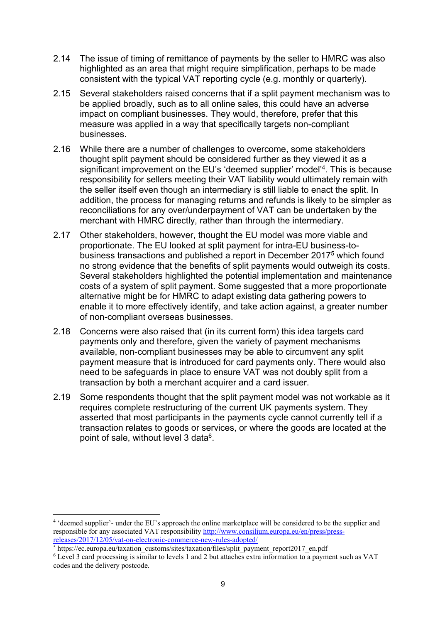- 2.14 The issue of timing of remittance of payments by the seller to HMRC was also highlighted as an area that might require simplification, perhaps to be made consistent with the typical VAT reporting cycle (e.g. monthly or quarterly).
- 2.15 Several stakeholders raised concerns that if a split payment mechanism was to be applied broadly, such as to all online sales, this could have an adverse impact on compliant businesses. They would, therefore, prefer that this measure was applied in a way that specifically targets non-compliant businesses.
- 2.16 While there are a number of challenges to overcome, some stakeholders thought split payment should be considered further as they viewed it as a significant improvement on the EU's 'deemed supplier' model'4. This is because responsibility for sellers meeting their VAT liability would ultimately remain with the seller itself even though an intermediary is still liable to enact the split. In addition, the process for managing returns and refunds is likely to be simpler as reconciliations for any over/underpayment of VAT can be undertaken by the merchant with HMRC directly, rather than through the intermediary.
- 2.17 Other stakeholders, however, thought the EU model was more viable and proportionate. The EU looked at split payment for intra-EU business-tobusiness transactions and published a report in December 20175 which found no strong evidence that the benefits of split payments would outweigh its costs. Several stakeholders highlighted the potential implementation and maintenance costs of a system of split payment. Some suggested that a more proportionate alternative might be for HMRC to adapt existing data gathering powers to enable it to more effectively identify, and take action against, a greater number of non-compliant overseas businesses.
- 2.18 Concerns were also raised that (in its current form) this idea targets card payments only and therefore, given the variety of payment mechanisms available, non-compliant businesses may be able to circumvent any split payment measure that is introduced for card payments only. There would also need to be safeguards in place to ensure VAT was not doubly split from a transaction by both a merchant acquirer and a card issuer.
- 2.19 Some respondents thought that the split payment model was not workable as it requires complete restructuring of the current UK payments system. They asserted that most participants in the payments cycle cannot currently tell if a transaction relates to goods or services, or where the goods are located at the point of sale, without level 3 data<sup>6</sup>.

 $\overline{a}$ 

<sup>&</sup>lt;sup>4</sup> 'deemed supplier'- under the EU's approach the online marketplace will be considered to be the supplier and responsible for any associated VAT responsibility http://www.consilium.europa.eu/en/press/pressreleases/2017/12/05/vat-on-electronic-commerce-new-rules-adopted/<br><sup>5</sup> https://ec.europa.eu/taxation\_customs/sites/taxation/files/split\_payment\_report2017\_en.pdf

<sup>&</sup>lt;sup>6</sup> Level 3 card processing is similar to levels 1 and 2 but attaches extra information to a payment such as VAT codes and the delivery postcode.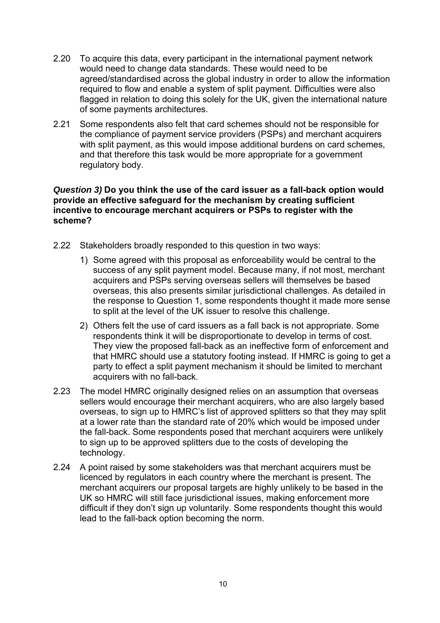- 2.20 To acquire this data, every participant in the international payment network would need to change data standards. These would need to be agreed/standardised across the global industry in order to allow the information required to flow and enable a system of split payment. Difficulties were also flagged in relation to doing this solely for the UK, given the international nature of some payments architectures.
- 2.21 Some respondents also felt that card schemes should not be responsible for the compliance of payment service providers (PSPs) and merchant acquirers with split payment, as this would impose additional burdens on card schemes, and that therefore this task would be more appropriate for a government regulatory body.

#### *Question 3)* **Do you think the use of the card issuer as a fall-back option would provide an effective safeguard for the mechanism by creating sufficient incentive to encourage merchant acquirers or PSPs to register with the scheme?**

- 2.22 Stakeholders broadly responded to this question in two ways:
	- 1) Some agreed with this proposal as enforceability would be central to the success of any split payment model. Because many, if not most, merchant acquirers and PSPs serving overseas sellers will themselves be based overseas, this also presents similar jurisdictional challenges. As detailed in the response to Question 1, some respondents thought it made more sense to split at the level of the UK issuer to resolve this challenge.
	- 2) Others felt the use of card issuers as a fall back is not appropriate. Some respondents think it will be disproportionate to develop in terms of cost. They view the proposed fall-back as an ineffective form of enforcement and that HMRC should use a statutory footing instead. If HMRC is going to get a party to effect a split payment mechanism it should be limited to merchant acquirers with no fall-back.
- 2.23 The model HMRC originally designed relies on an assumption that overseas sellers would encourage their merchant acquirers, who are also largely based overseas, to sign up to HMRC's list of approved splitters so that they may split at a lower rate than the standard rate of 20% which would be imposed under the fall-back. Some respondents posed that merchant acquirers were unlikely to sign up to be approved splitters due to the costs of developing the technology.
- 2.24 A point raised by some stakeholders was that merchant acquirers must be licenced by regulators in each country where the merchant is present. The merchant acquirers our proposal targets are highly unlikely to be based in the UK so HMRC will still face jurisdictional issues, making enforcement more difficult if they don't sign up voluntarily. Some respondents thought this would lead to the fall-back option becoming the norm.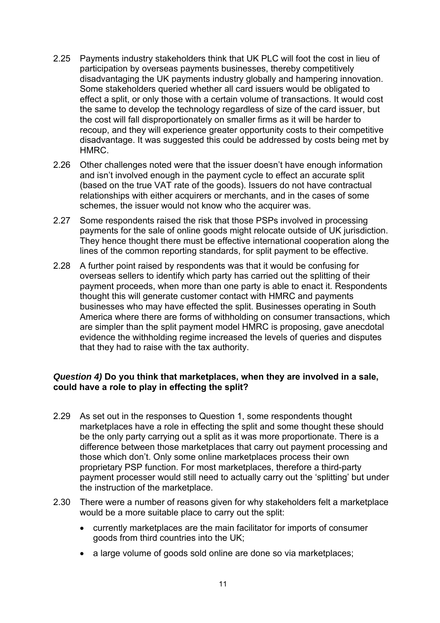- 2.25 Payments industry stakeholders think that UK PLC will foot the cost in lieu of participation by overseas payments businesses, thereby competitively disadvantaging the UK payments industry globally and hampering innovation. Some stakeholders queried whether all card issuers would be obligated to effect a split, or only those with a certain volume of transactions. It would cost the same to develop the technology regardless of size of the card issuer, but the cost will fall disproportionately on smaller firms as it will be harder to recoup, and they will experience greater opportunity costs to their competitive disadvantage. It was suggested this could be addressed by costs being met by HMRC.
- 2.26 Other challenges noted were that the issuer doesn't have enough information and isn't involved enough in the payment cycle to effect an accurate split (based on the true VAT rate of the goods). Issuers do not have contractual relationships with either acquirers or merchants, and in the cases of some schemes, the issuer would not know who the acquirer was.
- 2.27 Some respondents raised the risk that those PSPs involved in processing payments for the sale of online goods might relocate outside of UK jurisdiction. They hence thought there must be effective international cooperation along the lines of the common reporting standards, for split payment to be effective.
- 2.28 A further point raised by respondents was that it would be confusing for overseas sellers to identify which party has carried out the splitting of their payment proceeds, when more than one party is able to enact it. Respondents thought this will generate customer contact with HMRC and payments businesses who may have effected the split. Businesses operating in South America where there are forms of withholding on consumer transactions, which are simpler than the split payment model HMRC is proposing, gave anecdotal evidence the withholding regime increased the levels of queries and disputes that they had to raise with the tax authority.

#### *Question 4)* **Do you think that marketplaces, when they are involved in a sale, could have a role to play in effecting the split?**

- 2.29 As set out in the responses to Question 1, some respondents thought marketplaces have a role in effecting the split and some thought these should be the only party carrying out a split as it was more proportionate. There is a difference between those marketplaces that carry out payment processing and those which don't. Only some online marketplaces process their own proprietary PSP function. For most marketplaces, therefore a third-party payment processer would still need to actually carry out the 'splitting' but under the instruction of the marketplace.
- 2.30 There were a number of reasons given for why stakeholders felt a marketplace would be a more suitable place to carry out the split:
	- currently marketplaces are the main facilitator for imports of consumer goods from third countries into the UK;
	- a large volume of goods sold online are done so via marketplaces;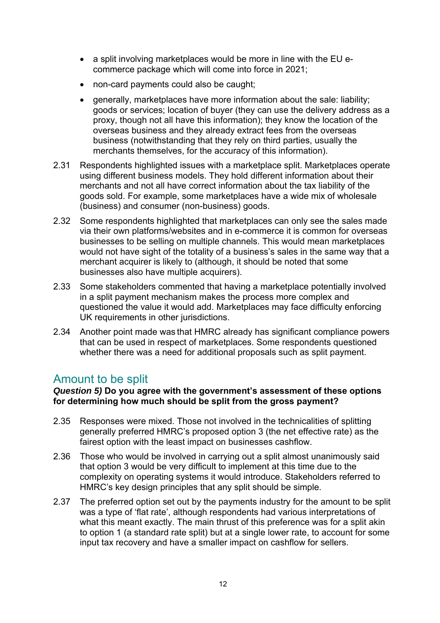- a split involving marketplaces would be more in line with the EU ecommerce package which will come into force in 2021;
- non-card payments could also be caught;
- $\bullet$  generally, marketplaces have more information about the sale: liability: goods or services; location of buyer (they can use the delivery address as a proxy, though not all have this information); they know the location of the overseas business and they already extract fees from the overseas business (notwithstanding that they rely on third parties, usually the merchants themselves, for the accuracy of this information).
- 2.31 Respondents highlighted issues with a marketplace split. Marketplaces operate using different business models. They hold different information about their merchants and not all have correct information about the tax liability of the goods sold. For example, some marketplaces have a wide mix of wholesale (business) and consumer (non-business) goods.
- 2.32 Some respondents highlighted that marketplaces can only see the sales made via their own platforms/websites and in e-commerce it is common for overseas businesses to be selling on multiple channels. This would mean marketplaces would not have sight of the totality of a business's sales in the same way that a merchant acquirer is likely to (although, it should be noted that some businesses also have multiple acquirers).
- 2.33 Some stakeholders commented that having a marketplace potentially involved in a split payment mechanism makes the process more complex and questioned the value it would add. Marketplaces may face difficulty enforcing UK requirements in other jurisdictions.
- 2.34 Another point made was that HMRC already has significant compliance powers that can be used in respect of marketplaces. Some respondents questioned whether there was a need for additional proposals such as split payment.

### Amount to be split

#### *Question 5)* **Do you agree with the government's assessment of these options for determining how much should be split from the gross payment?**

- 2.35 Responses were mixed. Those not involved in the technicalities of splitting generally preferred HMRC's proposed option 3 (the net effective rate) as the fairest option with the least impact on businesses cashflow.
- 2.36 Those who would be involved in carrying out a split almost unanimously said that option 3 would be very difficult to implement at this time due to the complexity on operating systems it would introduce. Stakeholders referred to HMRC's key design principles that any split should be simple.
- 2.37 The preferred option set out by the payments industry for the amount to be split was a type of 'flat rate', although respondents had various interpretations of what this meant exactly. The main thrust of this preference was for a split akin to option 1 (a standard rate split) but at a single lower rate, to account for some input tax recovery and have a smaller impact on cashflow for sellers.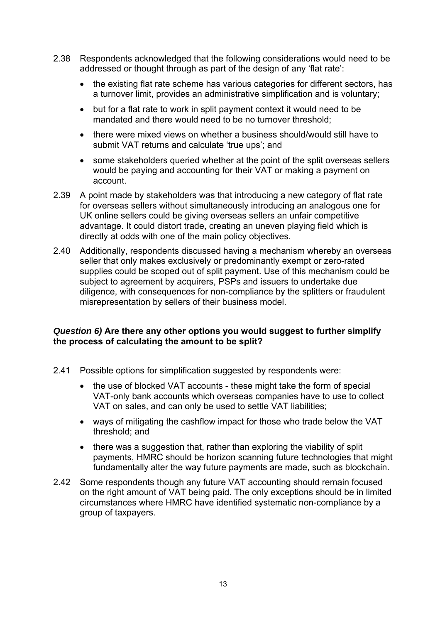- 2.38 Respondents acknowledged that the following considerations would need to be addressed or thought through as part of the design of any 'flat rate':
	- the existing flat rate scheme has various categories for different sectors, has a turnover limit, provides an administrative simplification and is voluntary;
	- but for a flat rate to work in split payment context it would need to be mandated and there would need to be no turnover threshold;
	- there were mixed views on whether a business should/would still have to submit VAT returns and calculate 'true ups'; and
	- some stakeholders queried whether at the point of the split overseas sellers would be paying and accounting for their VAT or making a payment on account.
- 2.39 A point made by stakeholders was that introducing a new category of flat rate for overseas sellers without simultaneously introducing an analogous one for UK online sellers could be giving overseas sellers an unfair competitive advantage. It could distort trade, creating an uneven playing field which is directly at odds with one of the main policy objectives.
- 2.40 Additionally, respondents discussed having a mechanism whereby an overseas seller that only makes exclusively or predominantly exempt or zero-rated supplies could be scoped out of split payment. Use of this mechanism could be subject to agreement by acquirers, PSPs and issuers to undertake due diligence, with consequences for non-compliance by the splitters or fraudulent misrepresentation by sellers of their business model.

#### *Question 6)* **Are there any other options you would suggest to further simplify the process of calculating the amount to be split?**

- 2.41 Possible options for simplification suggested by respondents were:
	- the use of blocked VAT accounts these might take the form of special VAT-only bank accounts which overseas companies have to use to collect VAT on sales, and can only be used to settle VAT liabilities;
	- ways of mitigating the cashflow impact for those who trade below the VAT threshold; and
	- there was a suggestion that, rather than exploring the viability of split payments, HMRC should be horizon scanning future technologies that might fundamentally alter the way future payments are made, such as blockchain.
- 2.42 Some respondents though any future VAT accounting should remain focused on the right amount of VAT being paid. The only exceptions should be in limited circumstances where HMRC have identified systematic non-compliance by a group of taxpayers.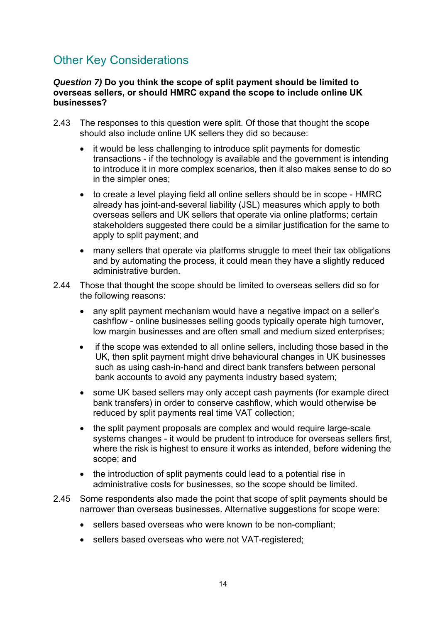### Other Key Considerations

#### *Question 7)* **Do you think the scope of split payment should be limited to overseas sellers, or should HMRC expand the scope to include online UK businesses?**

- 2.43 The responses to this question were split. Of those that thought the scope should also include online UK sellers they did so because:
	- it would be less challenging to introduce split payments for domestic transactions - if the technology is available and the government is intending to introduce it in more complex scenarios, then it also makes sense to do so in the simpler ones;
	- to create a level playing field all online sellers should be in scope HMRC already has joint-and-several liability (JSL) measures which apply to both overseas sellers and UK sellers that operate via online platforms; certain stakeholders suggested there could be a similar justification for the same to apply to split payment; and
	- many sellers that operate via platforms struggle to meet their tax obligations and by automating the process, it could mean they have a slightly reduced administrative burden.
- 2.44 Those that thought the scope should be limited to overseas sellers did so for the following reasons:
	- any split payment mechanism would have a negative impact on a seller's cashflow - online businesses selling goods typically operate high turnover, low margin businesses and are often small and medium sized enterprises;
	- if the scope was extended to all online sellers, including those based in the UK, then split payment might drive behavioural changes in UK businesses such as using cash-in-hand and direct bank transfers between personal bank accounts to avoid any payments industry based system;
	- some UK based sellers may only accept cash payments (for example direct bank transfers) in order to conserve cashflow, which would otherwise be reduced by split payments real time VAT collection;
	- the split payment proposals are complex and would require large-scale systems changes - it would be prudent to introduce for overseas sellers first, where the risk is highest to ensure it works as intended, before widening the scope; and
	- the introduction of split payments could lead to a potential rise in administrative costs for businesses, so the scope should be limited.
- 2.45 Some respondents also made the point that scope of split payments should be narrower than overseas businesses. Alternative suggestions for scope were:
	- sellers based overseas who were known to be non-compliant;
	- sellers based overseas who were not VAT-registered: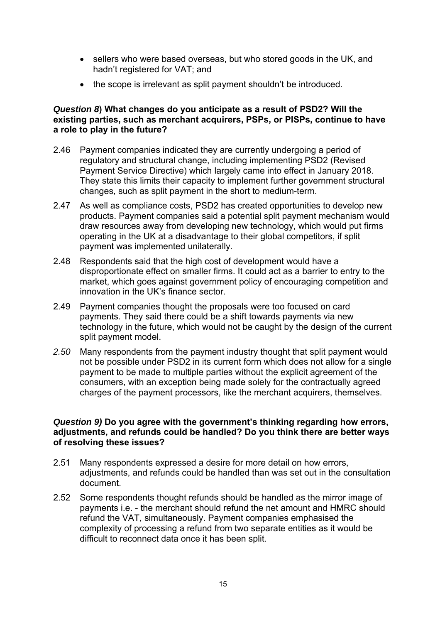- sellers who were based overseas, but who stored goods in the UK, and hadn't registered for VAT; and
- the scope is irrelevant as split payment shouldn't be introduced.

#### *Question 8***) What changes do you anticipate as a result of PSD2? Will the existing parties, such as merchant acquirers, PSPs, or PISPs, continue to have a role to play in the future?**

- 2.46 Payment companies indicated they are currently undergoing a period of regulatory and structural change, including implementing PSD2 (Revised Payment Service Directive) which largely came into effect in January 2018. They state this limits their capacity to implement further government structural changes, such as split payment in the short to medium-term.
- 2.47 As well as compliance costs, PSD2 has created opportunities to develop new products. Payment companies said a potential split payment mechanism would draw resources away from developing new technology, which would put firms operating in the UK at a disadvantage to their global competitors, if split payment was implemented unilaterally.
- 2.48 Respondents said that the high cost of development would have a disproportionate effect on smaller firms. It could act as a barrier to entry to the market, which goes against government policy of encouraging competition and innovation in the UK's finance sector.
- 2.49 Payment companies thought the proposals were too focused on card payments. They said there could be a shift towards payments via new technology in the future, which would not be caught by the design of the current split payment model.
- *2.50* Many respondents from the payment industry thought that split payment would not be possible under PSD2 in its current form which does not allow for a single payment to be made to multiple parties without the explicit agreement of the consumers, with an exception being made solely for the contractually agreed charges of the payment processors, like the merchant acquirers, themselves.

#### *Question 9)* **Do you agree with the government's thinking regarding how errors, adjustments, and refunds could be handled? Do you think there are better ways of resolving these issues?**

- 2.51 Many respondents expressed a desire for more detail on how errors, adjustments, and refunds could be handled than was set out in the consultation document.
- 2.52 Some respondents thought refunds should be handled as the mirror image of payments i.e. - the merchant should refund the net amount and HMRC should refund the VAT, simultaneously. Payment companies emphasised the complexity of processing a refund from two separate entities as it would be difficult to reconnect data once it has been split.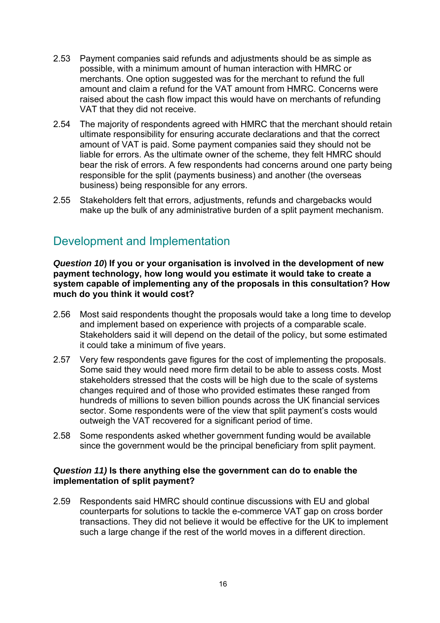- 2.53 Payment companies said refunds and adjustments should be as simple as possible, with a minimum amount of human interaction with HMRC or merchants. One option suggested was for the merchant to refund the full amount and claim a refund for the VAT amount from HMRC. Concerns were raised about the cash flow impact this would have on merchants of refunding VAT that they did not receive.
- 2.54 The majority of respondents agreed with HMRC that the merchant should retain ultimate responsibility for ensuring accurate declarations and that the correct amount of VAT is paid. Some payment companies said they should not be liable for errors. As the ultimate owner of the scheme, they felt HMRC should bear the risk of errors. A few respondents had concerns around one party being responsible for the split (payments business) and another (the overseas business) being responsible for any errors.
- 2.55 Stakeholders felt that errors, adjustments, refunds and chargebacks would make up the bulk of any administrative burden of a split payment mechanism.

### Development and Implementation

*Question 10***) If you or your organisation is involved in the development of new payment technology, how long would you estimate it would take to create a system capable of implementing any of the proposals in this consultation? How much do you think it would cost?** 

- 2.56 Most said respondents thought the proposals would take a long time to develop and implement based on experience with projects of a comparable scale. Stakeholders said it will depend on the detail of the policy, but some estimated it could take a minimum of five years.
- 2.57 Very few respondents gave figures for the cost of implementing the proposals. Some said they would need more firm detail to be able to assess costs. Most stakeholders stressed that the costs will be high due to the scale of systems changes required and of those who provided estimates these ranged from hundreds of millions to seven billion pounds across the UK financial services sector. Some respondents were of the view that split payment's costs would outweigh the VAT recovered for a significant period of time.
- 2.58 Some respondents asked whether government funding would be available since the government would be the principal beneficiary from split payment.

#### *Question 11)* **Is there anything else the government can do to enable the implementation of split payment?**

2.59 Respondents said HMRC should continue discussions with EU and global counterparts for solutions to tackle the e-commerce VAT gap on cross border transactions. They did not believe it would be effective for the UK to implement such a large change if the rest of the world moves in a different direction.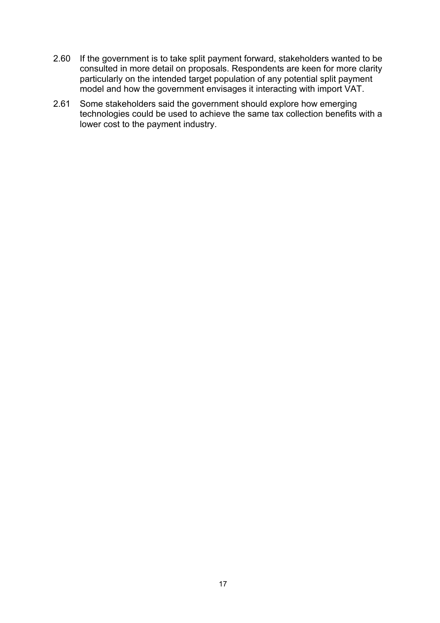- 2.60 If the government is to take split payment forward, stakeholders wanted to be consulted in more detail on proposals. Respondents are keen for more clarity particularly on the intended target population of any potential split payment model and how the government envisages it interacting with import VAT.
- 2.61 Some stakeholders said the government should explore how emerging technologies could be used to achieve the same tax collection benefits with a lower cost to the payment industry.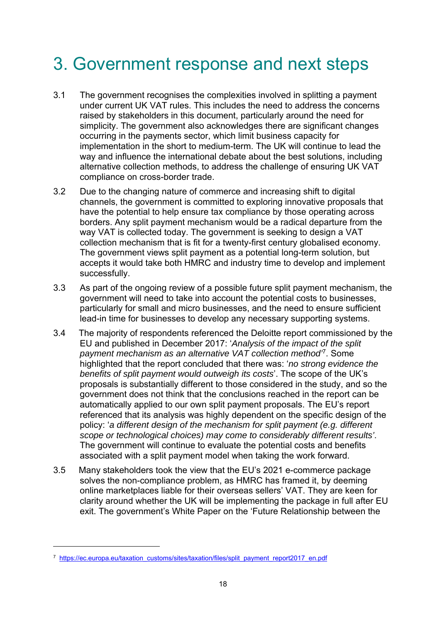## 3. Government response and next steps

- 3.1 The government recognises the complexities involved in splitting a payment under current UK VAT rules. This includes the need to address the concerns raised by stakeholders in this document, particularly around the need for simplicity. The government also acknowledges there are significant changes occurring in the payments sector, which limit business capacity for implementation in the short to medium-term. The UK will continue to lead the way and influence the international debate about the best solutions, including alternative collection methods, to address the challenge of ensuring UK VAT compliance on cross-border trade.
- 3.2 Due to the changing nature of commerce and increasing shift to digital channels, the government is committed to exploring innovative proposals that have the potential to help ensure tax compliance by those operating across borders. Any split payment mechanism would be a radical departure from the way VAT is collected today. The government is seeking to design a VAT collection mechanism that is fit for a twenty-first century globalised economy. The government views split payment as a potential long-term solution, but accepts it would take both HMRC and industry time to develop and implement successfully.
- 3.3 As part of the ongoing review of a possible future split payment mechanism, the government will need to take into account the potential costs to businesses, particularly for small and micro businesses, and the need to ensure sufficient lead-in time for businesses to develop any necessary supporting systems.
- 3.4 The majority of respondents referenced the Deloitte report commissioned by the EU and published in December 2017: '*Analysis of the impact of the split payment mechanism as an alternative VAT collection method'*7. Some highlighted that the report concluded that there was: '*no strong evidence the benefits of split payment would outweigh its costs*'. The scope of the UK's proposals is substantially different to those considered in the study, and so the government does not think that the conclusions reached in the report can be automatically applied to our own split payment proposals. The EU's report referenced that its analysis was highly dependent on the specific design of the policy: '*a different design of the mechanism for split payment (e.g. different scope or technological choices) may come to considerably different results'*. The government will continue to evaluate the potential costs and benefits associated with a split payment model when taking the work forward.
- 3.5 Many stakeholders took the view that the EU's 2021 e-commerce package solves the non-compliance problem, as HMRC has framed it, by deeming online marketplaces liable for their overseas sellers' VAT. They are keen for clarity around whether the UK will be implementing the package in full after EU exit. The government's White Paper on the 'Future Relationship between the

 $\overline{a}$ 

<sup>7</sup> https://ec.europa.eu/taxation\_customs/sites/taxation/files/split\_payment\_report2017\_en.pdf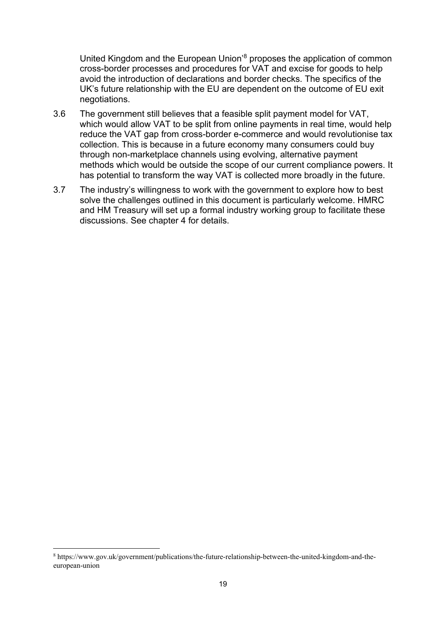United Kingdom and the European Union'8 proposes the application of common cross-border processes and procedures for VAT and excise for goods to help avoid the introduction of declarations and border checks. The specifics of the UK's future relationship with the EU are dependent on the outcome of EU exit negotiations.

- 3.6 The government still believes that a feasible split payment model for VAT, which would allow VAT to be split from online payments in real time, would help reduce the VAT gap from cross-border e-commerce and would revolutionise tax collection. This is because in a future economy many consumers could buy through non-marketplace channels using evolving, alternative payment methods which would be outside the scope of our current compliance powers. It has potential to transform the way VAT is collected more broadly in the future.
- 3.7 The industry's willingness to work with the government to explore how to best solve the challenges outlined in this document is particularly welcome. HMRC and HM Treasury will set up a formal industry working group to facilitate these discussions. See chapter 4 for details.

 $\overline{a}$ 

<sup>8</sup> https://www.gov.uk/government/publications/the-future-relationship-between-the-united-kingdom-and-theeuropean-union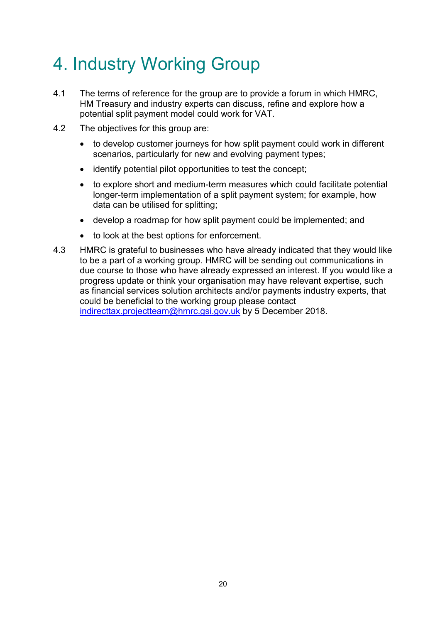# 4. Industry Working Group

- 4.1 The terms of reference for the group are to provide a forum in which HMRC, HM Treasury and industry experts can discuss, refine and explore how a potential split payment model could work for VAT.
- 4.2 The objectives for this group are:
	- to develop customer journeys for how split payment could work in different scenarios, particularly for new and evolving payment types;
	- identify potential pilot opportunities to test the concept;
	- to explore short and medium-term measures which could facilitate potential longer-term implementation of a split payment system; for example, how data can be utilised for splitting;
	- develop a roadmap for how split payment could be implemented; and
	- to look at the best options for enforcement.
- 4.3 HMRC is grateful to businesses who have already indicated that they would like to be a part of a working group. HMRC will be sending out communications in due course to those who have already expressed an interest. If you would like a progress update or think your organisation may have relevant expertise, such as financial services solution architects and/or payments industry experts, that could be beneficial to the working group please contact indirecttax.projectteam@hmrc.gsi.gov.uk by 5 December 2018.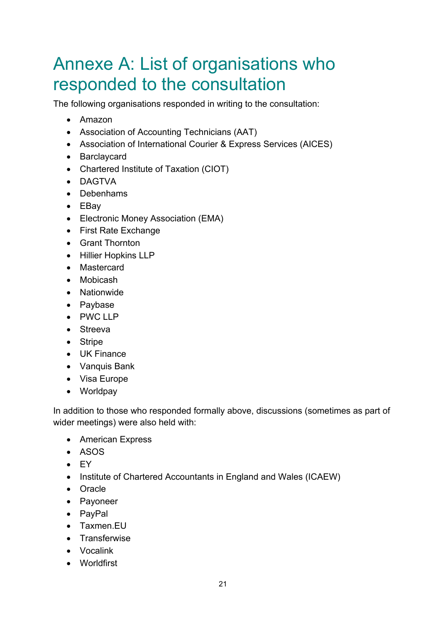### Annexe A: List of organisations who responded to the consultation

The following organisations responded in writing to the consultation:

- Amazon
- Association of Accounting Technicians (AAT)
- Association of International Courier & Express Services (AICES)
- Barclaycard
- Chartered Institute of Taxation (CIOT)
- DAGTVA
- Debenhams
- EBay
- Electronic Money Association (EMA)
- First Rate Exchange
- Grant Thornton
- Hillier Hopkins LLP
- Mastercard
- Mobicash
- Nationwide
- Paybase
- PWC LLP
- Streeva
- Stripe
- UK Finance
- Vanquis Bank
- Visa Europe
- Worldpay

In addition to those who responded formally above, discussions (sometimes as part of wider meetings) were also held with:

- American Express
- ASOS
- EY
- Institute of Chartered Accountants in England and Wales (ICAEW)
- Oracle
- Payoneer
- PayPal
- Taxmen.EU
- Transferwise
- Vocalink
- Worldfirst